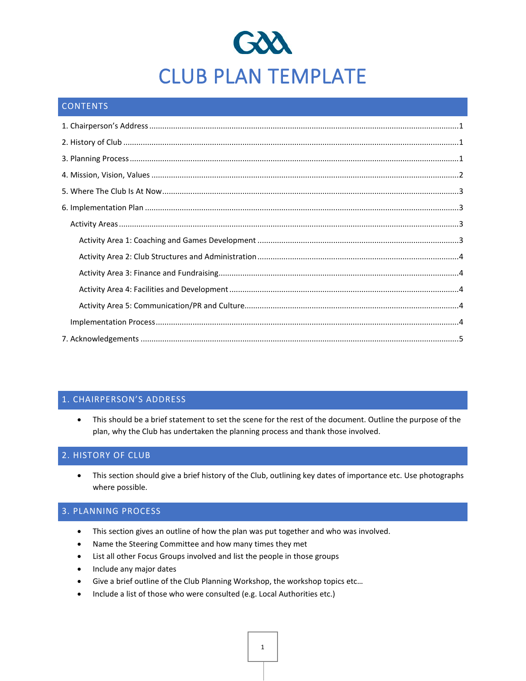

### **CONTENTS**

## <span id="page-0-0"></span>1. CHAIRPERSON'S ADDRESS

• This should be a brief statement to set the scene for the rest of the document. Outline the purpose of the plan, why the Club has undertaken the planning process and thank those involved.

### <span id="page-0-1"></span>2. HISTORY OF CLUB

• This section should give a brief history of the Club, outlining key dates of importance etc. Use photographs where possible.

#### <span id="page-0-2"></span>3. PLANNING PROCESS

- This section gives an outline of how the plan was put together and who was involved.
- Name the Steering Committee and how many times they met
- List all other Focus Groups involved and list the people in those groups
- Include any major dates
- Give a brief outline of the Club Planning Workshop, the workshop topics etc…
- Include a list of those who were consulted (e.g. Local Authorities etc.)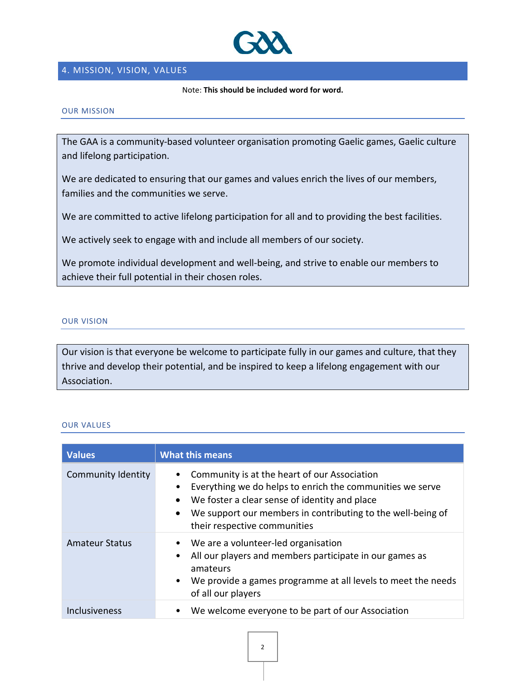

### <span id="page-1-0"></span>4. MISSION, VISION, VALUES

Note: **This should be included word for word.**

#### OUR MISSION

The GAA is a community-based volunteer organisation promoting Gaelic games, Gaelic culture and lifelong participation.

We are dedicated to ensuring that our games and values enrich the lives of our members, families and the communities we serve.

We are committed to active lifelong participation for all and to providing the best facilities.

We actively seek to engage with and include all members of our society.

We promote individual development and well-being, and strive to enable our members to achieve their full potential in their chosen roles.

### OUR VISION

Our vision is that everyone be welcome to participate fully in our games and culture, that they thrive and develop their potential, and be inspired to keep a lifelong engagement with our Association.

#### OUR VALUES

| <b>Values</b>         | <b>What this means</b>                                                                                                                                                                                                                                                                                        |
|-----------------------|---------------------------------------------------------------------------------------------------------------------------------------------------------------------------------------------------------------------------------------------------------------------------------------------------------------|
| Community Identity    | Community is at the heart of our Association<br>$\bullet$<br>Everything we do helps to enrich the communities we serve<br>$\bullet$<br>We foster a clear sense of identity and place<br>$\bullet$<br>We support our members in contributing to the well-being of<br>$\bullet$<br>their respective communities |
| <b>Amateur Status</b> | We are a volunteer-led organisation<br>$\bullet$<br>All our players and members participate in our games as<br>$\bullet$<br>amateurs<br>We provide a games programme at all levels to meet the needs<br>$\bullet$<br>of all our players                                                                       |
| Inclusiveness         | We welcome everyone to be part of our Association<br>$\bullet$                                                                                                                                                                                                                                                |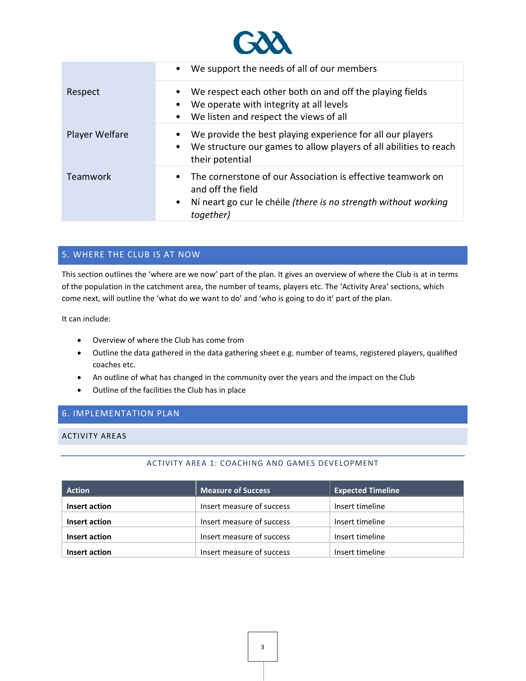

|                | • We support the needs of all of our members                                                                                                                                               |
|----------------|--------------------------------------------------------------------------------------------------------------------------------------------------------------------------------------------|
| Respect        | We respect each other both on and off the playing fields<br>$\bullet$<br>We operate with integrity at all levels<br>$\bullet$<br>We listen and respect the views of all<br>$\bullet$       |
| Player Welfare | We provide the best playing experience for all our players<br>٠<br>We structure our games to allow players of all abilities to reach<br>$\bullet$<br>their potential                       |
| Teamwork       | The cornerstone of our Association is effective teamwork on<br>$\bullet$<br>and off the field<br>Ní neart go cur le chéile (there is no strength without working<br>$\bullet$<br>together) |

### <span id="page-2-0"></span>5. WHERE THE CLUB IS AT NOW

This section outlines the 'where are we now' part of the plan. It gives an overview of where the Club is at in terms of the population in the catchment area, the number of teams, players etc. The 'Activity Area' sections, which come next, will outline the 'what do we want to do' and 'who is going to do it' part of the plan.

It can include:

- Overview of where the Club has come from
- Outline the data gathered in the data gathering sheet e.g. number of teams, registered players, qualified coaches etc.
- An outline of what has changed in the community over the years and the impact on the Club
- Outline of the facilities the Club has in place

### <span id="page-2-1"></span>6. IMPLEMENTATION PLAN

<span id="page-2-3"></span><span id="page-2-2"></span>ACTIVITY AREAS

#### ACTIVITY AREA 1: COACHING AND GAMES DEVELOPMENT

<span id="page-2-4"></span>

| <b>Action</b> | <b>Measure of Success</b> | <b>Expected Timeline</b> |
|---------------|---------------------------|--------------------------|
| Insert action | Insert measure of success | Insert timeline          |
| Insert action | Insert measure of success | Insert timeline          |
| Insert action | Insert measure of success | Insert timeline          |
| Insert action | Insert measure of success | Insert timeline          |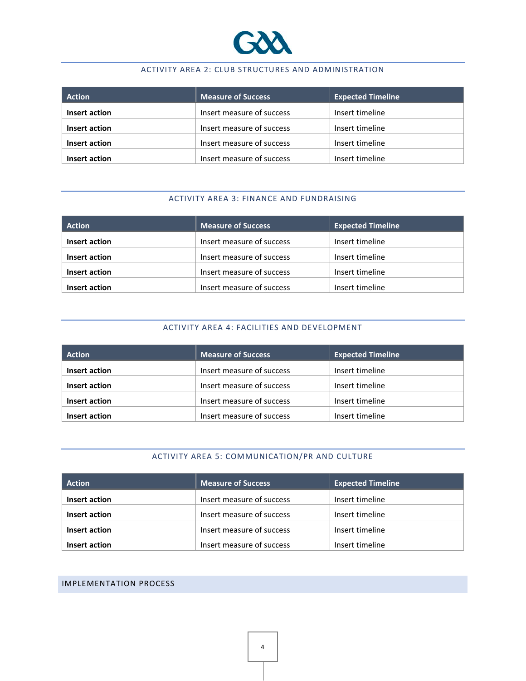

### ACTIVITY AREA 2: CLUB STRUCTURES AND ADMINISTRATION

| <b>Action</b> | <b>Measure of Success</b> | <b>Expected Timeline</b> |
|---------------|---------------------------|--------------------------|
| Insert action | Insert measure of success | Insert timeline          |
| Insert action | Insert measure of success | Insert timeline          |
| Insert action | Insert measure of success | Insert timeline          |
| Insert action | Insert measure of success | Insert timeline          |

### ACTIVITY AREA 3: FINANCE AND FUNDRAISING

<span id="page-3-0"></span>

| <b>Action</b> | <b>Measure of Success</b> | <b>Expected Timeline</b> |
|---------------|---------------------------|--------------------------|
| Insert action | Insert measure of success | Insert timeline          |
| Insert action | Insert measure of success | Insert timeline          |
| Insert action | Insert measure of success | Insert timeline          |
| Insert action | Insert measure of success | Insert timeline          |

#### ACTIVITY AREA 4: FACILITIES AND DEVELOPMENT

<span id="page-3-1"></span>

| <b>Action</b> | <b>Measure of Success</b> | <b>Expected Timeline</b> |
|---------------|---------------------------|--------------------------|
| Insert action | Insert measure of success | Insert timeline          |
| Insert action | Insert measure of success | Insert timeline          |
| Insert action | Insert measure of success | Insert timeline          |
| Insert action | Insert measure of success | Insert timeline          |

#### ACTIVITY AREA 5: COMMUNICATION/PR AND CULTURE

<span id="page-3-2"></span>

| Action        | <b>Measure of Success</b> | <b>Expected Timeline</b> |
|---------------|---------------------------|--------------------------|
| Insert action | Insert measure of success | Insert timeline          |
| Insert action | Insert measure of success | Insert timeline          |
| Insert action | Insert measure of success | Insert timeline          |
| Insert action | Insert measure of success | Insert timeline          |

## <span id="page-3-3"></span>IMPLEMENTATION PROCESS